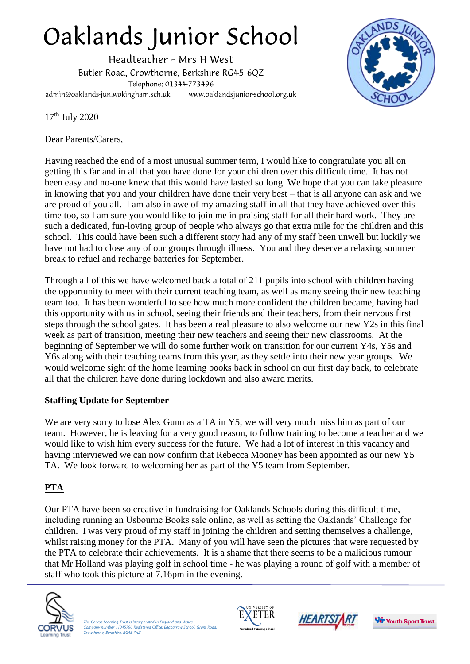# Oaklands Junior School

Headteacher - Mrs H West Butler Road, Crowthorne, Berkshire RG45 6QZ Telephone: 01344-773496 www.oaklandsjunior-school.org.uk admin@oaklands-jun.wokingham.sch.uk



17th July 2020

Dear Parents/Carers,

Having reached the end of a most unusual summer term, I would like to congratulate you all on getting this far and in all that you have done for your children over this difficult time. It has not been easy and no-one knew that this would have lasted so long. We hope that you can take pleasure in knowing that you and your children have done their very best – that is all anyone can ask and we are proud of you all. I am also in awe of my amazing staff in all that they have achieved over this time too, so I am sure you would like to join me in praising staff for all their hard work. They are such a dedicated, fun-loving group of people who always go that extra mile for the children and this school. This could have been such a different story had any of my staff been unwell but luckily we have not had to close any of our groups through illness. You and they deserve a relaxing summer break to refuel and recharge batteries for September.

Through all of this we have welcomed back a total of 211 pupils into school with children having the opportunity to meet with their current teaching team, as well as many seeing their new teaching team too. It has been wonderful to see how much more confident the children became, having had this opportunity with us in school, seeing their friends and their teachers, from their nervous first steps through the school gates. It has been a real pleasure to also welcome our new Y2s in this final week as part of transition, meeting their new teachers and seeing their new classrooms. At the beginning of September we will do some further work on transition for our current Y4s, Y5s and Y6s along with their teaching teams from this year, as they settle into their new year groups. We would welcome sight of the home learning books back in school on our first day back, to celebrate all that the children have done during lockdown and also award merits.

## **Staffing Update for September**

We are very sorry to lose Alex Gunn as a TA in Y5; we will very much miss him as part of our team. However, he is leaving for a very good reason, to follow training to become a teacher and we would like to wish him every success for the future. We had a lot of interest in this vacancy and having interviewed we can now confirm that Rebecca Mooney has been appointed as our new Y5 TA. We look forward to welcoming her as part of the Y5 team from September.

# **PTA**

Our PTA have been so creative in fundraising for Oaklands Schools during this difficult time, including running an Usbourne Books sale online, as well as setting the Oaklands' Challenge for children. I was very proud of my staff in joining the children and setting themselves a challenge, whilst raising money for the PTA. Many of you will have seen the pictures that were requested by the PTA to celebrate their achievements. It is a shame that there seems to be a malicious rumour that Mr Holland was playing golf in school time - he was playing a round of golf with a member of staff who took this picture at 7.16pm in the evening.



*The Corvus Learning Trust is incorporated in England and Wales Company number 11045796 Registered Office: Edgbarrow School, Grant Road, Crowthorne, Berkshire, RG45 7HZ*





**St.** Youth Sport Trust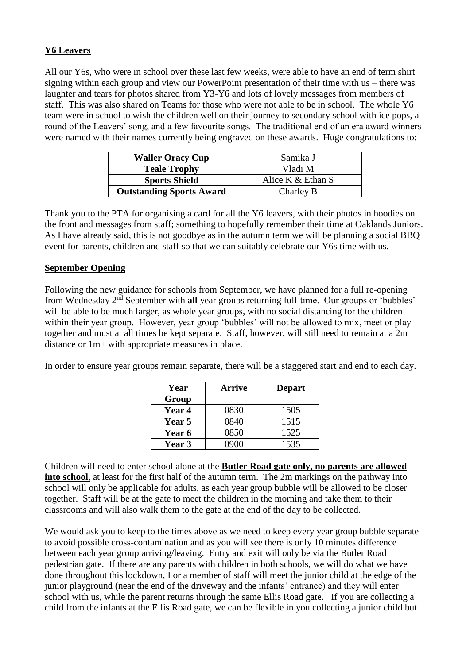### **Y6 Leavers**

All our Y6s, who were in school over these last few weeks, were able to have an end of term shirt signing within each group and view our PowerPoint presentation of their time with us – there was laughter and tears for photos shared from Y3-Y6 and lots of lovely messages from members of staff. This was also shared on Teams for those who were not able to be in school. The whole Y6 team were in school to wish the children well on their journey to secondary school with ice pops, a round of the Leavers' song, and a few favourite songs. The traditional end of an era award winners were named with their names currently being engraved on these awards. Huge congratulations to:

| <b>Waller Oracy Cup</b>         | Samika J          |
|---------------------------------|-------------------|
| <b>Teale Trophy</b>             | Vladi M           |
| <b>Sports Shield</b>            | Alice K & Ethan S |
| <b>Outstanding Sports Award</b> | Charley B         |

Thank you to the PTA for organising a card for all the Y6 leavers, with their photos in hoodies on the front and messages from staff; something to hopefully remember their time at Oaklands Juniors. As I have already said, this is not goodbye as in the autumn term we will be planning a social BBQ event for parents, children and staff so that we can suitably celebrate our Y6s time with us.

#### **September Opening**

Following the new guidance for schools from September, we have planned for a full re-opening from Wednesday 2nd September with **all** year groups returning full-time. Our groups or 'bubbles' will be able to be much larger, as whole year groups, with no social distancing for the children within their year group. However, year group 'bubbles' will not be allowed to mix, meet or play together and must at all times be kept separate. Staff, however, will still need to remain at a 2m distance or 1m+ with appropriate measures in place.

In order to ensure year groups remain separate, there will be a staggered start and end to each day.

| Year          | Arrive | <b>Depart</b> |
|---------------|--------|---------------|
| Group         |        |               |
| <b>Year 4</b> | 0830   | 1505          |
| <b>Year 5</b> | 0840   | 1515          |
| Year 6        | 0850   | 1525          |
| <b>Year 3</b> | 0900   | 1535          |

Children will need to enter school alone at the **Butler Road gate only, no parents are allowed into school,** at least for the first half of the autumn term. The 2m markings on the pathway into school will only be applicable for adults, as each year group bubble will be allowed to be closer together. Staff will be at the gate to meet the children in the morning and take them to their classrooms and will also walk them to the gate at the end of the day to be collected.

We would ask you to keep to the times above as we need to keep every year group bubble separate to avoid possible cross-contamination and as you will see there is only 10 minutes difference between each year group arriving/leaving. Entry and exit will only be via the Butler Road pedestrian gate. If there are any parents with children in both schools, we will do what we have done throughout this lockdown, I or a member of staff will meet the junior child at the edge of the junior playground (near the end of the driveway and the infants' entrance) and they will enter school with us, while the parent returns through the same Ellis Road gate. If you are collecting a child from the infants at the Ellis Road gate, we can be flexible in you collecting a junior child but